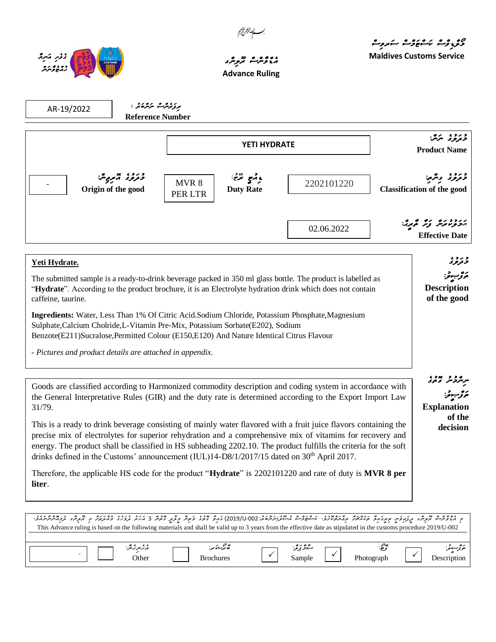



.

# *އެޑްވާންސް ރޫލިންގ* **Advance Ruling**

م و<sub>ک</sub>و<sub>ی</sub>وژے کا مروت **Maldives Customs Service**

<sub>مر</sub>مرو مدد ،<br>سرمرو *مدوی* 

نھۇب قرا **Explanation** 

> **of the decision**

| AR-19/2022                                                                                                                                                                                                                                     | برۇنزىژىش بىر ئەشكەن :<br><b>Reference Number</b> |                     |                                |                                                                                                 |                                               |                                              |
|------------------------------------------------------------------------------------------------------------------------------------------------------------------------------------------------------------------------------------------------|---------------------------------------------------|---------------------|--------------------------------|-------------------------------------------------------------------------------------------------|-----------------------------------------------|----------------------------------------------|
|                                                                                                                                                                                                                                                |                                                   | <b>YETI HYDRATE</b> |                                |                                                                                                 | د د د .<br>د ترو ت سرس<br><b>Product Name</b> |                                              |
|                                                                                                                                                                                                                                                | وتروء تيمبيش<br>Origin of the good                | MVR 8<br>PER LTR    | وقمع ترضح:<br><b>Duty Rate</b> | 2202101220                                                                                      |                                               | د ژوء ب<br><b>Classification of the good</b> |
|                                                                                                                                                                                                                                                |                                                   |                     |                                | 02.06.2022                                                                                      |                                               | مخزخ ترتش وتر<br><b>Effective Date</b>       |
| Yeti Hydrate.                                                                                                                                                                                                                                  |                                                   |                     |                                |                                                                                                 |                                               | و رو ،<br>تر <i>نو</i> و                     |
| The submitted sample is a ready-to-drink beverage packed in 350 ml glass bottle. The product is labelled as<br>"Hydrate". According to the product brochure, it is an Electrolyte hydration drink which does not contain<br>caffeine, taurine. |                                                   |                     |                                |                                                                                                 |                                               | <b>Description</b><br>of the good            |
| Sulphate, Calcium Cholride, L-Vitamin Pre-Mix, Potassium Sorbate (E202), Sodium<br>Benzote(E211)Sucralose, Permitted Colour (E150, E120) And Nature Identical Citrus Flavour                                                                   |                                                   |                     |                                | Ingredients: Water, Less Than 1% Of Citric Acid.Sodium Chloride, Potassium Phosphate, Magnesium |                                               |                                              |
| - Pictures and product details are attached in appendix.                                                                                                                                                                                       |                                                   |                     |                                |                                                                                                 |                                               |                                              |

| Goods are classified according to Harmonized commodity description and coding system in accordance with   |  |  |  |  |  |  |  |
|-----------------------------------------------------------------------------------------------------------|--|--|--|--|--|--|--|
| the General Interpretative Rules (GIR) and the duty rate is determined according to the Export Import Law |  |  |  |  |  |  |  |
| 31/79.                                                                                                    |  |  |  |  |  |  |  |
|                                                                                                           |  |  |  |  |  |  |  |

This is a ready to drink beverage consisting of mainly water flavored with a fruit juice flavors containing the precise mix of electrolytes for superior rehydration and a comprehensive mix of vitamins for recovery and energy. The product shall be classified in HS subheading 2202.10. The product fulfills the criteria for the soft drinks defined in the Customs' announcement (IUL)14-D8/1/2017/15 dated on 30<sup>th</sup> April 2017.

Therefore, the applicable HS code for the product "**Hydrate**" is 2202101220 and rate of duty is **MVR 8 per liter**.

| د ، ئۇنىيە تروپىر برىرىرىم بىرى مەنىمى بەئەتمۇنى ، ئەغۇرى ئەنزارىمەن ئان 190-2010) دىرۇ تەرەپ ئۇنى ئەنزىر ئەردە ئەدەم ئو تروپى ئېزىقىدى ئېزىر ئاندىن ئان<br>This Advance ruling is based on the following materials and shall be valid up to 3 years from the effective date as stipulated in the customs procedure 2019/U-002 |                                 |                    |            |                           |
|--------------------------------------------------------------------------------------------------------------------------------------------------------------------------------------------------------------------------------------------------------------------------------------------------------------------------------|---------------------------------|--------------------|------------|---------------------------|
|                                                                                                                                                                                                                                                                                                                                |                                 |                    |            |                           |
| ېر ئىرىر ئىر:<br>)ther                                                                                                                                                                                                                                                                                                         | ھ بڑے ً ہر:<br><b>Brochures</b> | شۇ ئۇيۇ:<br>Sample | Photograph | فرتر سوغر:<br>Description |